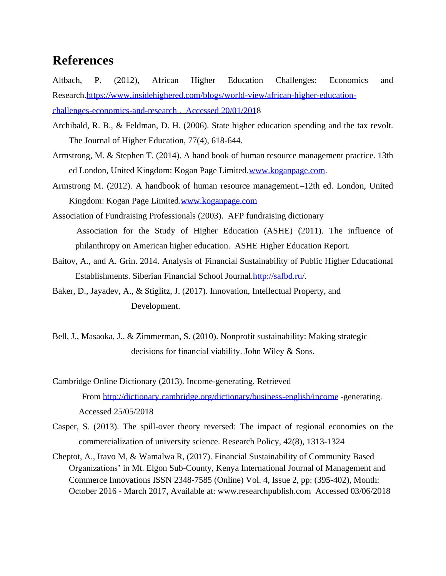## **References**

Altbach, P. (2012), African Higher Education Challenges: Economics and Research[.https://www.insidehighered.com/blogs/world-view/african-higher-education](https://www.insidehighered.com/blogs/world-view/african-higher-education-challenges-economics-and-research%2520.%2520%2520Accessed%252020/01/201)[challenges-economics-and-research](https://www.insidehighered.com/blogs/world-view/african-higher-education-challenges-economics-and-research%2520.%2520%2520Accessed%252020/01/201) . Accessed 20/01/2018

- Archibald, R. B., & Feldman, D. H. (2006). State higher education spending and the tax revolt. The Journal of Higher Education, 77(4), 618-644.
- Armstrong, M. & Stephen T. (2014). A hand book of human resource management practice. 13th ed London, United Kingdom: Kogan Page Limited[.www.koganpage.com.](http://www.koganpage.com/)
- Armstrong M. (2012). A handbook of human resource management.–12th ed. London, United Kingdom: Kogan Page Limited[.www.koganpage.com](http://www.koganpage.com/)
- Association of Fundraising Professionals (2003). AFP fundraising dictionary Association for the Study of Higher Education (ASHE) (2011). The influence of philanthropy on American higher education. ASHE Higher Education Report.
- Baitov, A., and A. Grin. 2014. Analysis of Financial Sustainability of Public Higher Educational Establishments. Siberian Financial School Journal.http://safbd.ru/.

Baker, D., Jayadev, A., & Stiglitz, J. (2017). Innovation, Intellectual Property, and Development.

Bell, J., Masaoka, J., & Zimmerman, S. (2010). Nonprofit sustainability: Making strategic decisions for financial viability. John Wiley & Sons.

- Cambridge Online Dictionary (2013). Income-generating. Retrieved From <http://dictionary.cambridge.org/dictionary/business-english/income> -generating. Accessed 25/05/2018
- Casper, S. (2013). The spill-over theory reversed: The impact of regional economies on the commercialization of university science. Research Policy, 42(8), 1313-1324
- Cheptot, A., Iravo M, & Wamalwa R, (2017). Financial Sustainability of Community Based Organizations' in Mt. Elgon Sub-County, Kenya International Journal of Management and Commerce Innovations ISSN 2348-7585 (Online) Vol. 4, Issue 2, pp: (395-402), Month: October 2016 - March 2017, Available at: [www.researchpublish.com](http://www.researchpublish.com/) Accessed 03/06/2018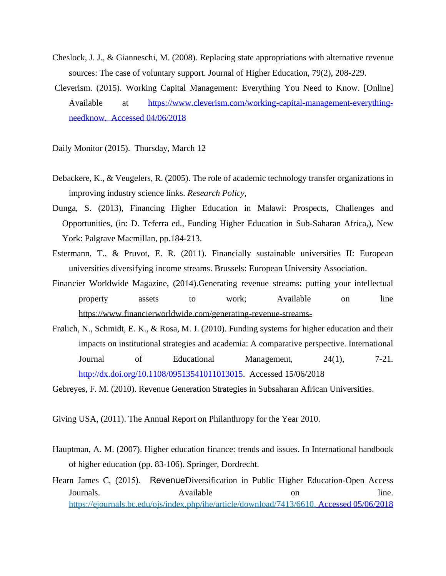- Cheslock, J. J., & Gianneschi, M. (2008). Replacing state appropriations with alternative revenue sources: The case of voluntary support. Journal of Higher Education, 79(2), 208-229.
- Cleverism. (2015). Working Capital Management: Everything You Need to Know. [Online] Available at [https://www.cleverism.com/working-capital-management-everything](https://www.cleverism.com/working-capital-management-everything-needknow.%2520%2520Accessed%252004/06/2018)[needknow. Accessed](https://www.cleverism.com/working-capital-management-everything-needknow.%2520%2520Accessed%252004/06/2018) 04/06/2018

Daily Monitor (2015). Thursday, March 12

- Debackere, K., & Veugelers, R. (2005). The role of academic technology transfer organizations in improving industry science links. *Research Policy,*
- Dunga, S. (2013), Financing Higher Education in Malawi: Prospects, Challenges and Opportunities, (in: D. Teferra ed., Funding Higher Education in Sub-Saharan Africa,), New York: Palgrave Macmillan, pp.184-213.
- Estermann, T., & Pruvot, E. R. (2011). Financially sustainable universities II: European universities diversifying income streams. Brussels: European University Association.
- Financier Worldwide Magazine, (2014).Generating revenue streams: putting your intellectual property assets to work; Available on line <https://www.financierworldwide.com/generating-revenue-streams->
- Frølich, N., Schmidt, E. K., & Rosa, M. J. (2010). Funding systems for higher education and their impacts on institutional strategies and academia: A comparative perspective. International Journal of Educational Management, 24(1), 7-21. [http://dx.doi.org/10.1108/09513541011013015.](http://dx.doi.org/10.1108/09513541011013015) Accessed 15/06/2018

Gebreyes, F. M. (2010). Revenue Generation Strategies in Subsaharan African Universities.

Giving USA, (2011). The Annual Report on Philanthropy for the Year 2010.

- Hauptman, A. M. (2007). Higher education finance: trends and issues. In International handbook of higher education (pp. 83-106). Springer, Dordrecht.
- Hearn James C, (2015). RevenueDiversification in Public Higher Education-Open Access Journals. Available on line. [https://ejournals.bc.edu/ojs/index.php/ihe/article/download/7413/6610.](https://ejournals.bc.edu/ojs/index.php/ihe/article/download/7413/6610) Accessed 05/06/2018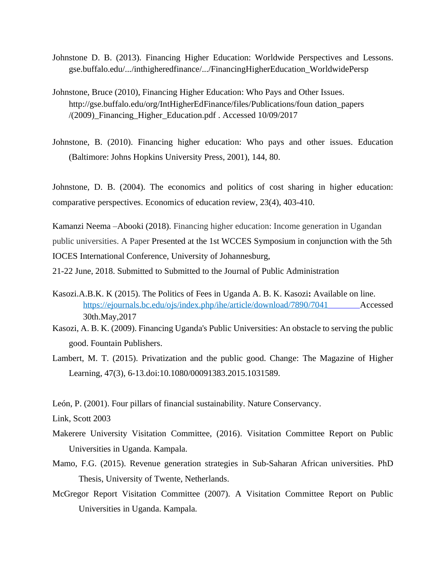- Johnstone D. B. (2013). Financing Higher Education: Worldwide Perspectives and Lessons. gse.buffalo.edu/.../inthigheredfinance/.../FinancingHigherEducation\_WorldwidePersp
- Johnstone, Bruce (2010), Financing Higher Education: Who Pays and Other Issues. http://gse.buffalo.edu/org/IntHigherEdFinance/files/Publications/foun dation\_papers /(2009)\_Financing\_Higher\_Education.pdf . Accessed 10/09/2017
- Johnstone, B. (2010). Financing higher education: Who pays and other issues. Education (Baltimore: Johns Hopkins University Press, 2001), 144, 80.

Johnstone, D. B. (2004). The economics and politics of cost sharing in higher education: comparative perspectives. Economics of education review, 23(4), 403-410.

Kamanzi Neema –Abooki (2018). Financing higher education: Income generation in Ugandan public universities. A Paper Presented at the 1st WCCES Symposium in conjunction with the 5th IOCES International Conference, University of Johannesburg,

21-22 June, 2018. Submitted to Submitted to the Journal of Public Administration

- Kasozi.A.B.K. K (2015). The Politics of Fees in Uganda A. B. K. Kasozi**:** Available on line. <https://ejournals.bc.edu/ojs/index.php/ihe/article/download/7890/7041> Accessed 30th.May,2017
- Kasozi, A. B. K. (2009). Financing Uganda's Public Universities: An obstacle to serving the public good. Fountain Publishers.
- Lambert, M. T. (2015). Privatization and the public good. Change: The Magazine of Higher Learning, 47(3), 6-13.doi:10.1080/00091383.2015.1031589.

León, P. (2001). Four pillars of financial sustainability. Nature Conservancy.

Link, Scott 2003

- Makerere University Visitation Committee, (2016). Visitation Committee Report on Public Universities in Uganda. Kampala.
- Mamo, F.G. (2015). Revenue generation strategies in Sub-Saharan African universities. PhD Thesis, University of Twente, Netherlands.
- McGregor Report Visitation Committee (2007). A Visitation Committee Report on Public Universities in Uganda. Kampala.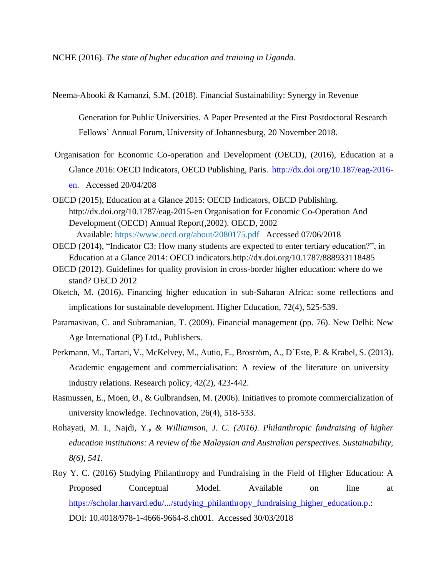NCHE (2016). *The state of higher education and training in Uganda*.

Neema-Abooki & Kamanzi, S.M. (2018). Financial Sustainability: Synergy in Revenue

Generation for Public Universities. A Paper Presented at the First Postdoctoral Research Fellows' Annual Forum, University of Johannesburg, 20 November 2018.

- Organisation for Economic Co-operation and Development (OECD), (2016), Education at a Glance 2016: OECD Indicators, OECD Publishing, Paris. [http://dx.doi.org/10.187/eag-2016](http://dx.doi.org/10.187/eag-2016-en) [en.](http://dx.doi.org/10.187/eag-2016-en) Accessed 20/04/208
- OECD (2015), Education at a Glance 2015: OECD Indicators, OECD Publishing. <http://dx.doi.org/10.1787/eag-2015-en> Organisation for Economic Co-Operation And Development (OECD) Annual Report(,2002). OECD, 2002 Available: <https://www.oecd.org/about/2080175.pdf>Accessed 07/06/2018
- OECD (2014), "Indicator C3: How many students are expected to enter tertiary education?", in Education at a Glance 2014: OECD indicators.http://dx.doi.org/10.1787/888933118485
- OECD (2012). Guidelines for quality provision in cross-border higher education: where do we stand? OECD 2012
- Oketch, M. (2016). Financing higher education in sub-Saharan Africa: some reflections and implications for sustainable development. Higher Education, 72(4), 525-539.
- Paramasivan, C. and Subramanian, T. (2009). Financial management (pp. 76). New Delhi: New Age International (P) Ltd., Publishers.
- Perkmann, M., Tartari, V., McKelvey, M., Autio, E., Broström, A., D'Este, P. & Krabel, S. (2013). Academic engagement and commercialisation: A review of the literature on university– industry relations. Research policy, 42(2), 423-442.
- Rasmussen, E., Moen, Ø., & Gulbrandsen, M. (2006). Initiatives to promote commercialization of university knowledge. Technovation, 26(4), 518-533.
- Rohayati, M. I., Najdi, Y.**,** *& Williamson, J. C. (2016). Philanthropic fundraising of higher education institutions: A review of the Malaysian and Australian perspectives. Sustainability, 8(6), 541.*
- Roy Y. C. (2016) Studying Philanthropy and Fundraising in the Field of Higher Education: A Proposed Conceptual Model. Available on line at [https://scholar.harvard.edu/.../studying\\_philanthropy\\_fundraising\\_higher\\_education.p.](https://scholar.harvard.edu/.../studying_philanthropy_fundraising_higher_education.p): DOI: 10.4018/978-1-4666-9664-8.ch001. Accessed 30/03/2018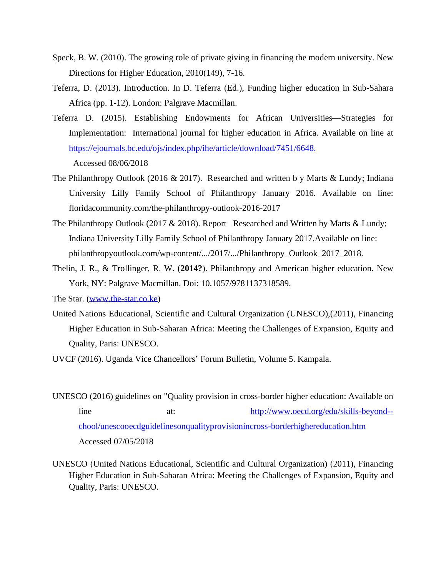- Speck, B. W. (2010). The growing role of private giving in financing the modern university. New Directions for Higher Education, 2010(149), 7-16.
- Teferra, D. (2013). Introduction. In D. Teferra (Ed.), Funding higher education in Sub-Sahara Africa (pp. 1-12). London: Palgrave Macmillan.
- Teferra D. (2015). Establishing Endowments for African Universities—Strategies for Implementation: International journal for higher education in Africa. Available on line at <https://ejournals.bc.edu/ojs/index.php/ihe/article/download/7451/6648.> Accessed 08/06/2018
- The Philanthropy Outlook (2016 & 2017). Researched and written b y Marts & Lundy; Indiana University Lilly Family School of Philanthropy January 2016. Available on line: floridacommunity.com/the-philanthropy-outlook-2016-2017
- The Philanthropy Outlook (2017 & 2018). Report Researched and Written by Marts & Lundy; Indiana University Lilly Family School of Philanthropy January 2017.Available on line: philanthropyoutlook.com/wp-content/.../2017/.../Philanthropy\_Outlook\_2017\_2018.
- Thelin, J. R., & Trollinger, R. W. (**2014?**). Philanthropy and American higher education. New York, NY: Palgrave Macmillan. Doi: 10.1057/9781137318589.
- The Star. [\(www.the-star.co.ke\)](http://www.the-star.co.ke/)
- United Nations Educational, Scientific and Cultural Organization (UNESCO),(2011), Financing Higher Education in Sub-Saharan Africa: Meeting the Challenges of Expansion, Equity and Quality, Paris: UNESCO.

UVCF (2016). Uganda Vice Chancellors' Forum Bulletin, Volume 5. Kampala.

- UNESCO (2016) guidelines on "Quality provision in cross-border higher education: Available on line at: [http://www.oecd.org/edu/skills-beyond-](http://www.oecd.org/edu/skills-beyond--chool/unescooecdguidelinesonqualityprovisionincross-borderhighereducation.htm%2520Accessed%252007/05/2018) [chool/unescooecdguidelinesonqualityprovisionincross-borderhighereducation.htm](http://www.oecd.org/edu/skills-beyond--chool/unescooecdguidelinesonqualityprovisionincross-borderhighereducation.htm%2520Accessed%252007/05/2018) Accessed [07/05/2018](http://www.oecd.org/edu/skills-beyond--chool/unescooecdguidelinesonqualityprovisionincross-borderhighereducation.htm%2520Accessed%252007/05/2018)
- UNESCO (United Nations Educational, Scientific and Cultural Organization) (2011), Financing Higher Education in Sub-Saharan Africa: Meeting the Challenges of Expansion, Equity and Quality, Paris: UNESCO.